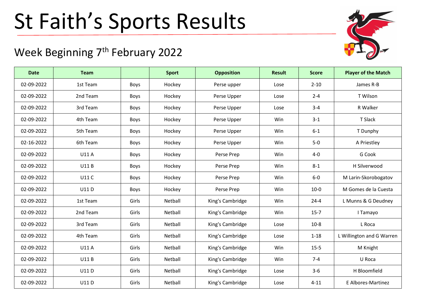## St Faith's Sports Results

## Week Beginning 7<sup>th</sup> February 2022

| <b>Date</b> | <b>Team</b>  |             | <b>Sport</b> | <b>Opposition</b> | <b>Result</b> | <b>Score</b> | <b>Player of the Match</b> |
|-------------|--------------|-------------|--------------|-------------------|---------------|--------------|----------------------------|
| 02-09-2022  | 1st Team     | Boys        | Hockey       | Perse upper       | Lose          | $2 - 10$     | James R-B                  |
| 02-09-2022  | 2nd Team     | Boys        | Hockey       | Perse Upper       | Lose          | $2 - 4$      | T Wilson                   |
| 02-09-2022  | 3rd Team     | Boys        | Hockey       | Perse Upper       | Lose          | $3 - 4$      | R Walker                   |
| 02-09-2022  | 4th Team     | Boys        | Hockey       | Perse Upper       | Win           | $3 - 1$      | T Slack                    |
| 02-09-2022  | 5th Team     | <b>Boys</b> | Hockey       | Perse Upper       | Win           | $6 - 1$      | T Dunphy                   |
| 02-16-2022  | 6th Team     | Boys        | Hockey       | Perse Upper       | Win           | $5-0$        | A Priestley                |
| 02-09-2022  | U11 A        | Boys        | Hockey       | Perse Prep        | Win           | $4 - 0$      | G Cook                     |
| 02-09-2022  | <b>U11B</b>  | Boys        | Hockey       | Perse Prep        | Win           | $8 - 1$      | H Silverwood               |
| 02-09-2022  | <b>U11 C</b> | Boys        | Hockey       | Perse Prep        | Win           | $6-0$        | M Larin-Skorobogatov       |
| 02-09-2022  | U11D         | Boys        | Hockey       | Perse Prep        | Win           | $10-0$       | M Gomes de la Cuesta       |
| 02-09-2022  | 1st Team     | Girls       | Netball      | King's Cambridge  | Win           | $24 - 4$     | L Munns & G Deudney        |
| 02-09-2022  | 2nd Team     | Girls       | Netball      | King's Cambridge  | Win           | $15 - 7$     | I Tamayo                   |
| 02-09-2022  | 3rd Team     | Girls       | Netball      | King's Cambridge  | Lose          | $10-8$       | L Roca                     |
| 02-09-2022  | 4th Team     | Girls       | Netball      | King's Cambridge  | Lose          | $1 - 18$     | L Willington and G Warren  |
| 02-09-2022  | U11 A        | Girls       | Netball      | King's Cambridge  | Win           | $15 - 5$     | M Knight                   |
| 02-09-2022  | <b>U11B</b>  | Girls       | Netball      | King's Cambridge  | Win           | $7 - 4$      | U Roca                     |
| 02-09-2022  | U11D         | Girls       | Netball      | King's Cambridge  | Lose          | $3-6$        | H Bloomfield               |
| 02-09-2022  | U11D         | Girls       | Netball      | King's Cambridge  | Lose          | $4 - 11$     | E Albores-Martinez         |